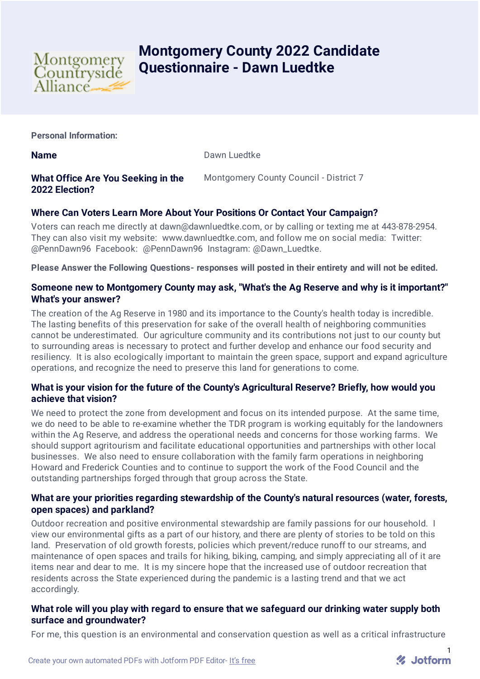

# **Montgomery County 2022 Candidate Questionnaire - Dawn Luedtke**

**Personal Information:**

**Name** Dawn Luedtke

# **What Office Are You Seeking in the 2022 Election?**

Montgomery County Council - District 7

# **Where Can Voters Learn More About Your Positions Or Contact Your Campaign?**

Voters can reach me directly at dawn@dawnluedtke.com, or by calling or texting me at 443-878-2954. They can also visit my website: www.dawnluedtke.com, and follow me on social media: Twitter: @PennDawn96 Facebook: @PennDawn96 Instagram: @Dawn\_Luedtke.

**Please Answer the Following Questions- responses will posted in their entirety and will not be edited.**

### **Someone new to Montgomery County may ask, "What's the Ag Reserve and why is it important?" What's your answer?**

The creation of the Ag Reserve in 1980 and its importance to the County's health today is incredible. The lasting benefits of this preservation for sake of the overall health of neighboring communities cannot be underestimated. Our agriculture community and its contributions not just to our county but to surrounding areas is necessary to protect and further develop and enhance our food security and resiliency. It is also ecologically important to maintain the green space, support and expand agriculture operations, and recognize the need to preserve this land for generations to come.

## **What is your vision for the future of the County's Agricultural Reserve? Briefly, how would you achieve that vision?**

We need to protect the zone from development and focus on its intended purpose. At the same time, we do need to be able to re-examine whether the TDR program is working equitably for the landowners within the Ag Reserve, and address the operational needs and concerns for those working farms. We should support agritourism and facilitate educational opportunities and partnerships with other local businesses. We also need to ensure collaboration with the family farm operations in neighboring Howard and Frederick Counties and to continue to support the work of the Food Council and the outstanding partnerships forged through that group across the State.

#### **What are your priorities regarding stewardship of the County's natural resources (water, forests, open spaces) and parkland?**

Outdoor recreation and positive environmental stewardship are family passions for our household. I view our environmental gifts as a part of our history, and there are plenty of stories to be told on this land. Preservation of old growth forests, policies which prevent/reduce runoff to our streams, and maintenance of open spaces and trails for hiking, biking, camping, and simply appreciating all of it are items near and dear to me. It is my sincere hope that the increased use of outdoor recreation that residents across the State experienced during the pandemic is a lasting trend and that we act accordingly.

#### **What role will you play with regard to ensure that we safeguard our drinking water supply both surface and groundwater?**

For me, this question is an environmental and conservation question as well as a critical infrastructure

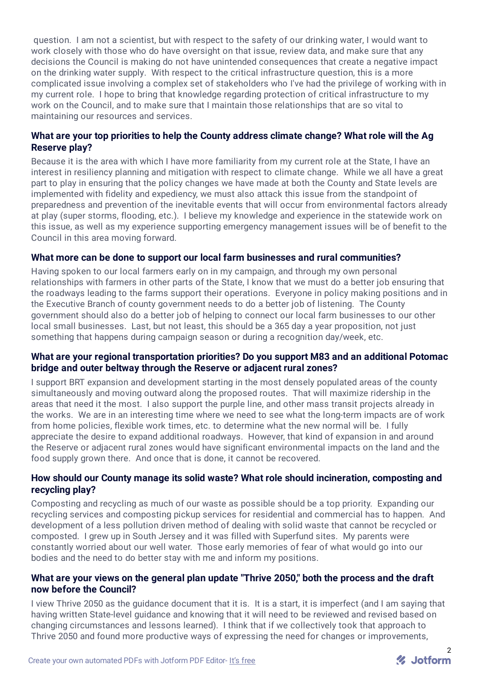question. I am not a scientist, but with respect to the safety of our drinking water, I would want to work closely with those who do have oversight on that issue, review data, and make sure that any decisions the Council is making do not have unintended consequences that create a negative impact on the drinking water supply. With respect to the critical infrastructure question, this is a more complicated issue involving a complex set of stakeholders who I've had the privilege of working with in my current role. I hope to bring that knowledge regarding protection of critical infrastructure to my work on the Council, and to make sure that I maintain those relationships that are so vital to maintaining our resources and services.

#### **What are your top priorities to help the County address climate change? What role will the Ag Reserve play?**

Because it is the area with which I have more familiarity from my current role at the State, I have an interest in resiliency planning and mitigation with respect to climate change. While we all have a great part to play in ensuring that the policy changes we have made at both the County and State levels are implemented with fidelity and expediency, we must also attack this issue from the standpoint of preparedness and prevention of the inevitable events that will occur from environmental factors already at play (super storms, flooding, etc.). I believe my knowledge and experience in the statewide work on this issue, as well as my experience supporting emergency management issues will be of benefit to the Council in this area moving forward.

#### **What more can be done to support our local farm businesses and rural communities?**

Having spoken to our local farmers early on in my campaign, and through my own personal relationships with farmers in other parts of the State, I know that we must do a better job ensuring that the roadways leading to the farms support their operations. Everyone in policy making positions and in the Executive Branch of county government needs to do a better job of listening. The County government should also do a better job of helping to connect our local farm businesses to our other local small businesses. Last, but not least, this should be a 365 day a year proposition, not just something that happens during campaign season or during a recognition day/week, etc.

#### **What are your regional transportation priorities? Do you support M83 and an additional Potomac bridge and outer beltway through the Reserve or adjacent rural zones?**

I support BRT expansion and development starting in the most densely populated areas of the county simultaneously and moving outward along the proposed routes. That will maximize ridership in the areas that need it the most. I also support the purple line, and other mass transit projects already in the works. We are in an interesting time where we need to see what the long-term impacts are of work from home policies, flexible work times, etc. to determine what the new normal will be. I fully appreciate the desire to expand additional roadways. However, that kind of expansion in and around the Reserve or adjacent rural zones would have significant environmental impacts on the land and the food supply grown there. And once that is done, it cannot be recovered.

#### **How should our County manage its solid waste? What role should incineration, composting and recycling play?**

Composting and recycling as much of our waste as possible should be a top priority. Expanding our recycling services and composting pickup services for residential and commercial has to happen. And development of a less pollution driven method of dealing with solid waste that cannot be recycled or composted. I grew up in South Jersey and it was filled with Superfund sites. My parents were constantly worried about our well water. Those early memories of fear of what would go into our bodies and the need to do better stay with me and inform my positions.

#### **What are your views on the general plan update "Thrive 2050," both the process and the draft now before the Council?**

I view Thrive 2050 as the guidance document that it is. It is a start, it is imperfect (and I am saying that having written State-level guidance and knowing that it will need to be reviewed and revised based on changing circumstances and lessons learned). I think that if we collectively took that approach to Thrive 2050 and found more productive ways of expressing the need for changes or improvements,